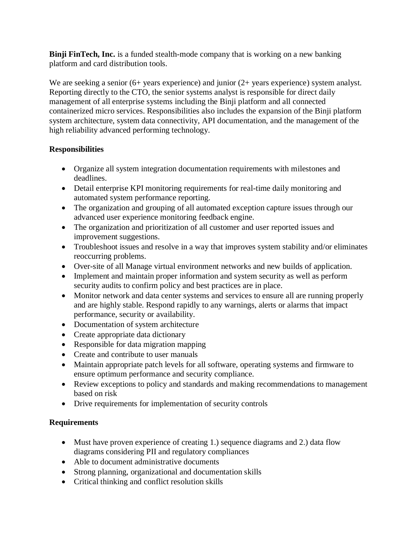**Binji FinTech, Inc.** is a funded stealth-mode company that is working on a new banking platform and card distribution tools.

We are seeking a senior (6+ years experience) and junior (2+ years experience) system analyst. Reporting directly to the CTO, the senior systems analyst is responsible for direct daily management of all enterprise systems including the Binji platform and all connected containerized micro services. Responsibilities also includes the expansion of the Binji platform system architecture, system data connectivity, API documentation, and the management of the high reliability advanced performing technology.

## **Responsibilities**

- Organize all system integration documentation requirements with milestones and deadlines.
- Detail enterprise KPI monitoring requirements for real-time daily monitoring and automated system performance reporting.
- The organization and grouping of all automated exception capture issues through our advanced user experience monitoring feedback engine.
- The organization and prioritization of all customer and user reported issues and improvement suggestions.
- Troubleshoot issues and resolve in a way that improves system stability and/or eliminates reoccurring problems.
- Over-site of all Manage virtual environment networks and new builds of application.
- Implement and maintain proper information and system security as well as perform security audits to confirm policy and best practices are in place.
- Monitor network and data center systems and services to ensure all are running properly and are highly stable. Respond rapidly to any warnings, alerts or alarms that impact performance, security or availability.
- Documentation of system architecture
- Create appropriate data dictionary
- Responsible for data migration mapping
- Create and contribute to user manuals
- Maintain appropriate patch levels for all software, operating systems and firmware to ensure optimum performance and security compliance.
- Review exceptions to policy and standards and making recommendations to management based on risk
- Drive requirements for implementation of security controls

## **Requirements**

- Must have proven experience of creating 1.) sequence diagrams and 2.) data flow diagrams considering PII and regulatory compliances
- Able to document administrative documents
- Strong planning, organizational and documentation skills
- Critical thinking and conflict resolution skills